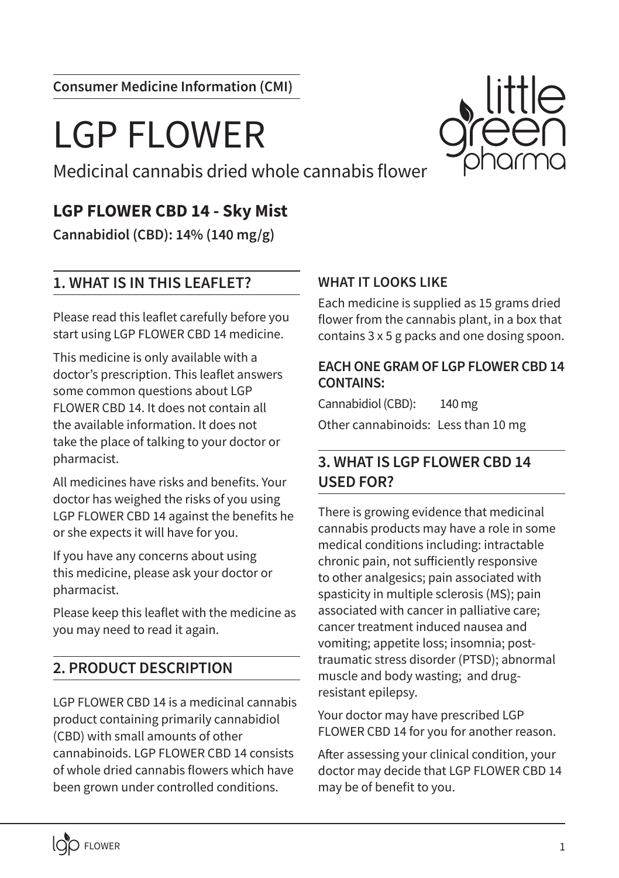**Consumer Medicine Information (CMI)**

# LGP FLOWER

Medicinal cannabis dried whole cannabis flower

# **LGP FLOWER CBD 14 - Sky Mist**

**Cannabidiol (CBD): 14% (140 mg/g)**

# **1. WHAT IS IN THIS LEAFLET?**

Please read this leaflet carefully before you start using LGP FLOWER CBD 14 medicine.

This medicine is only available with a doctor's prescription. This leaflet answers some common questions about LGP FLOWER CBD 14. It does not contain all the available information. It does not take the place of talking to your doctor or pharmacist.

All medicines have risks and benefits. Your doctor has weighed the risks of you using LGP FLOWER CBD 14 against the benefits he or she expects it will have for you.

If you have any concerns about using this medicine, please ask your doctor or pharmacist.

Please keep this leaflet with the medicine as you may need to read it again.

# **2. PRODUCT DESCRIPTION**

LGP FLOWER CBD 14 is a medicinal cannabis product containing primarily cannabidiol (CBD) with small amounts of other cannabinoids. LGP FLOWER CBD 14 consists of whole dried cannabis flowers which have been grown under controlled conditions.

#### **WHAT IT LOOKS LIKE**

Each medicine is supplied as 15 grams dried flower from the cannabis plant, in a box that contains 3 x 5 g packs and one dosing spoon.

#### **EACH ONE GRAM OF LGP FLOWER CBD 14 CONTAINS:**

Cannabidiol (CBD): 140 mg Other cannabinoids: Less than 10 mg

# **3. WHAT IS LGP FLOWER CBD 14 USED FOR?**

There is growing evidence that medicinal cannabis products may have a role in some medical conditions including: intractable chronic pain, not sufficiently responsive to other analgesics; pain associated with spasticity in multiple sclerosis (MS); pain associated with cancer in palliative care; cancer treatment induced nausea and vomiting; appetite loss; insomnia; posttraumatic stress disorder (PTSD); abnormal muscle and body wasting; and drugresistant epilepsy.

Your doctor may have prescribed LGP FLOWER CBD 14 for you for another reason.

After assessing your clinical condition, your doctor may decide that LGP FLOWER CBD 14 may be of benefit to you.

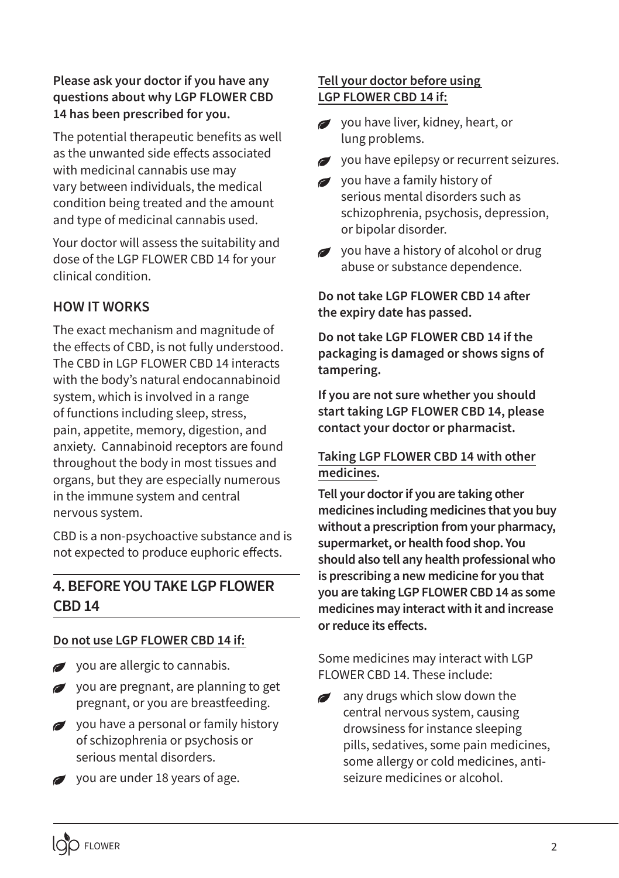#### **Please ask your doctor if you have any questions about why LGP FLOWER CBD 14 has been prescribed for you.**

The potential therapeutic benefits as well as the unwanted side effects associated with medicinal cannabis use may vary between individuals, the medical condition being treated and the amount and type of medicinal cannabis used.

Your doctor will assess the suitability and dose of the LGP FLOWER CBD 14 for your clinical condition.

## **HOW IT WORKS**

The exact mechanism and magnitude of the effects of CBD, is not fully understood. The CBD in LGP FLOWER CBD 14 interacts with the body's natural endocannabinoid system, which is involved in a range of functions including sleep, stress, pain, appetite, memory, digestion, and anxiety. Cannabinoid receptors are found throughout the body in most tissues and organs, but they are especially numerous in the immune system and central nervous system.

CBD is a non-psychoactive substance and is not expected to produce euphoric effects.

# **4. BEFORE YOU TAKE LGP FLOWER CBD 14**

#### **Do not use LGP FLOWER CBD 14 if:**

- you are allergic to cannabis.
- you are pregnant, are planning to get pregnant, or you are breastfeeding.
- you have a personal or family history of schizophrenia or psychosis or serious mental disorders.
- $\rightarrow$  you are under 18 years of age.

#### **Tell your doctor before using LGP FLOWER CBD 14 if:**

- you have liver, kidney, heart, or lung problems.
- you have epilepsy or recurrent seizures.
- you have a family history of serious mental disorders such as schizophrenia, psychosis, depression, or bipolar disorder.
- $\rightarrow$  vou have a history of alcohol or drug abuse or substance dependence.

**Do not take LGP FLOWER CBD 14 after the expiry date has passed.**

**Do not take LGP FLOWER CBD 14 if the packaging is damaged or shows signs of tampering.**

**If you are not sure whether you should start taking LGP FLOWER CBD 14, please contact your doctor or pharmacist.**

#### **Taking LGP FLOWER CBD 14 with other medicines.**

**Tell your doctor if you are taking other medicines including medicines that you buy without a prescription from your pharmacy, supermarket, or health food shop. You should also tell any health professional who is prescribing a new medicine for you that you are taking LGP FLOWER CBD 14 as some medicines may interact with it and increase or reduce its effects.** 

Some medicines may interact with LGP FLOWER CBD 14. These include:

any drugs which slow down the central nervous system, causing drowsiness for instance sleeping pills, sedatives, some pain medicines, some allergy or cold medicines, antiseizure medicines or alcohol.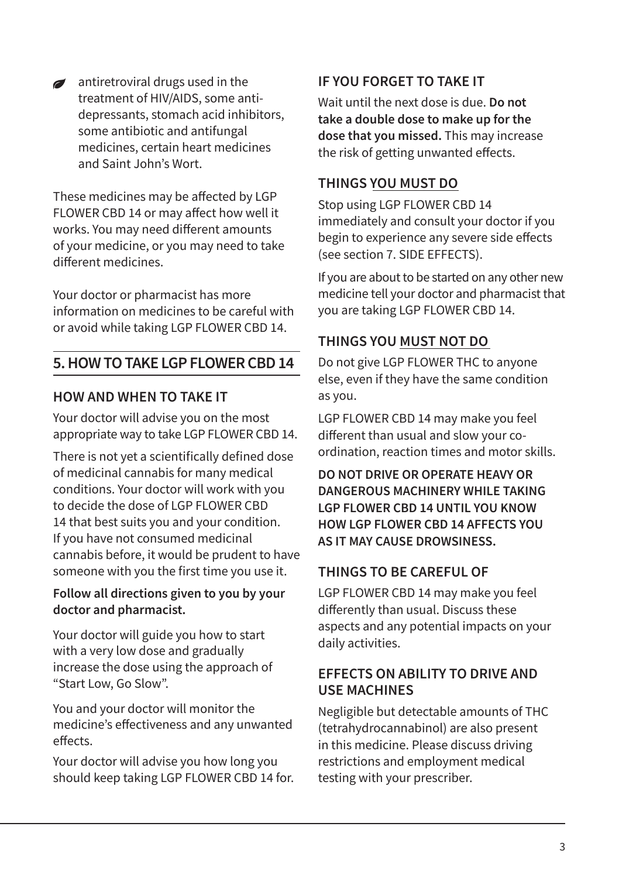antiretroviral drugs used in the treatment of HIV/AIDS, some antidepressants, stomach acid inhibitors, some antibiotic and antifungal medicines, certain heart medicines and Saint John's Wort.

These medicines may be affected by LGP FLOWER CBD 14 or may affect how well it works. You may need different amounts of your medicine, or you may need to take different medicines.

Your doctor or pharmacist has more information on medicines to be careful with or avoid while taking LGP FLOWER CBD 14.

# **5. HOW TO TAKE LGP FLOWER CBD 14**

#### **HOW AND WHEN TO TAKE IT**

Your doctor will advise you on the most appropriate way to take LGP FLOWER CBD 14.

There is not yet a scientifically defined dose of medicinal cannabis for many medical conditions. Your doctor will work with you to decide the dose of LGP FLOWER CBD 14 that best suits you and your condition. If you have not consumed medicinal cannabis before, it would be prudent to have someone with you the first time you use it.

#### **Follow all directions given to you by your doctor and pharmacist.**

Your doctor will guide you how to start with a very low dose and gradually increase the dose using the approach of "Start Low, Go Slow".

You and your doctor will monitor the medicine's effectiveness and any unwanted effects.

Your doctor will advise you how long you should keep taking LGP FLOWER CBD 14 for.

### **IF YOU FORGET TO TAKE IT**

Wait until the next dose is due. **Do not take a double dose to make up for the dose that you missed.** This may increase the risk of getting unwanted effects.

# **THINGS YOU MUST DO**

Stop using LGP FLOWER CBD 14 immediately and consult your doctor if you begin to experience any severe side effects (see section 7. SIDE EFFECTS).

If you are about to be started on any other new medicine tell your doctor and pharmacist that you are taking LGP FLOWER CBD 14.

# **THINGS YOU MUST NOT DO**

Do not give LGP FLOWER THC to anyone else, even if they have the same condition as you.

LGP FLOWER CBD 14 may make you feel different than usual and slow your coordination, reaction times and motor skills.

**DO NOT DRIVE OR OPERATE HEAVY OR DANGEROUS MACHINERY WHILE TAKING LGP FLOWER CBD 14 UNTIL YOU KNOW HOW LGP FLOWER CBD 14 AFFECTS YOU AS IT MAY CAUSE DROWSINESS.**

# **THINGS TO BE CAREFUL OF**

LGP FLOWER CBD 14 may make you feel differently than usual. Discuss these aspects and any potential impacts on your daily activities.

#### **EFFECTS ON ABILITY TO DRIVE AND USE MACHINES**

Negligible but detectable amounts of THC (tetrahydrocannabinol) are also present in this medicine. Please discuss driving restrictions and employment medical testing with your prescriber.